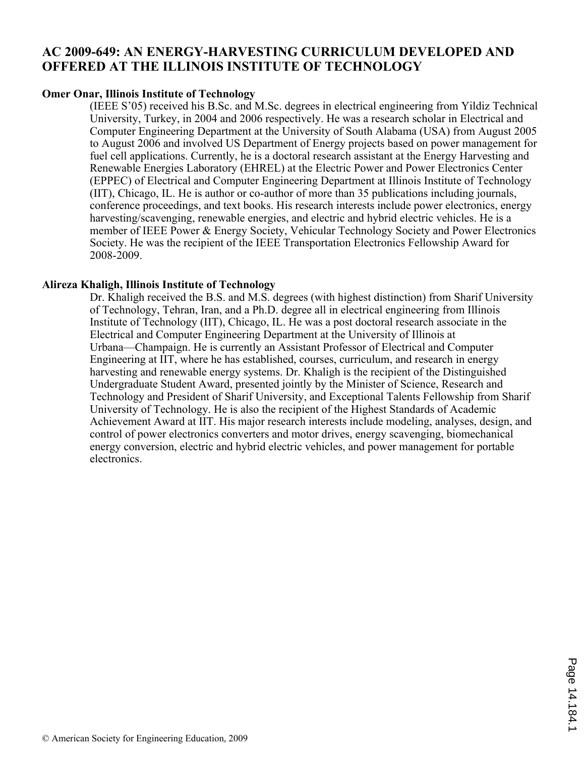# **AC 2009-649: AN ENERGY-HARVESTING CURRICULUM DEVELOPED AND OFFERED AT THE ILLINOIS INSTITUTE OF TECHNOLOGY**

#### **Omer Onar, Illinois Institute of Technology**

(IEEE S'05) received his B.Sc. and M.Sc. degrees in electrical engineering from Yildiz Technical University, Turkey, in 2004 and 2006 respectively. He was a research scholar in Electrical and Computer Engineering Department at the University of South Alabama (USA) from August 2005 to August 2006 and involved US Department of Energy projects based on power management for fuel cell applications. Currently, he is a doctoral research assistant at the Energy Harvesting and Renewable Energies Laboratory (EHREL) at the Electric Power and Power Electronics Center (EPPEC) of Electrical and Computer Engineering Department at Illinois Institute of Technology (IIT), Chicago, IL. He is author or co-author of more than 35 publications including journals, conference proceedings, and text books. His research interests include power electronics, energy harvesting/scavenging, renewable energies, and electric and hybrid electric vehicles. He is a member of IEEE Power & Energy Society, Vehicular Technology Society and Power Electronics Society. He was the recipient of the IEEE Transportation Electronics Fellowship Award for 2008-2009.

#### **Alireza Khaligh, Illinois Institute of Technology**

Dr. Khaligh received the B.S. and M.S. degrees (with highest distinction) from Sharif University of Technology, Tehran, Iran, and a Ph.D. degree all in electrical engineering from Illinois Institute of Technology (IIT), Chicago, IL. He was a post doctoral research associate in the Electrical and Computer Engineering Department at the University of Illinois at Urbana—Champaign. He is currently an Assistant Professor of Electrical and Computer Engineering at IIT, where he has established, courses, curriculum, and research in energy harvesting and renewable energy systems. Dr. Khaligh is the recipient of the Distinguished Undergraduate Student Award, presented jointly by the Minister of Science, Research and Technology and President of Sharif University, and Exceptional Talents Fellowship from Sharif University of Technology. He is also the recipient of the Highest Standards of Academic Achievement Award at IIT. His major research interests include modeling, analyses, design, and control of power electronics converters and motor drives, energy scavenging, biomechanical energy conversion, electric and hybrid electric vehicles, and power management for portable electronics.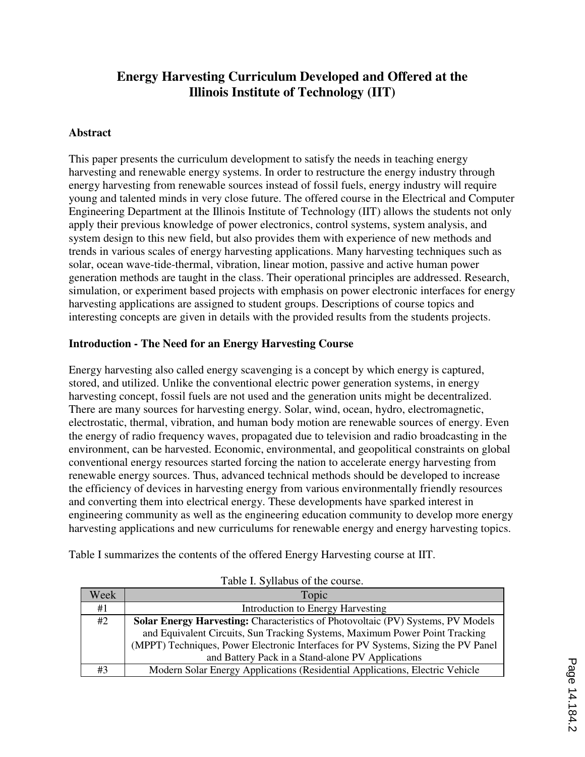# **Energy Harvesting Curriculum Developed and Offered at the Illinois Institute of Technology (IIT)**

## **Abstract**

This paper presents the curriculum development to satisfy the needs in teaching energy harvesting and renewable energy systems. In order to restructure the energy industry through energy harvesting from renewable sources instead of fossil fuels, energy industry will require young and talented minds in very close future. The offered course in the Electrical and Computer Engineering Department at the Illinois Institute of Technology (IIT) allows the students not only apply their previous knowledge of power electronics, control systems, system analysis, and system design to this new field, but also provides them with experience of new methods and trends in various scales of energy harvesting applications. Many harvesting techniques such as solar, ocean wave-tide-thermal, vibration, linear motion, passive and active human power generation methods are taught in the class. Their operational principles are addressed. Research, simulation, or experiment based projects with emphasis on power electronic interfaces for energy harvesting applications are assigned to student groups. Descriptions of course topics and interesting concepts are given in details with the provided results from the students projects.

#### **Introduction - The Need for an Energy Harvesting Course**

Energy harvesting also called energy scavenging is a concept by which energy is captured, stored, and utilized. Unlike the conventional electric power generation systems, in energy harvesting concept, fossil fuels are not used and the generation units might be decentralized. There are many sources for harvesting energy. Solar, wind, ocean, hydro, electromagnetic, electrostatic, thermal, vibration, and human body motion are renewable sources of energy. Even the energy of radio frequency waves, propagated due to television and radio broadcasting in the environment, can be harvested. Economic, environmental, and geopolitical constraints on global conventional energy resources started forcing the nation to accelerate energy harvesting from renewable energy sources. Thus, advanced technical methods should be developed to increase the efficiency of devices in harvesting energy from various environmentally friendly resources and converting them into electrical energy. These developments have sparked interest in engineering community as well as the engineering education community to develop more energy harvesting applications and new curriculums for renewable energy and energy harvesting topics.

|  |  |  | Table I summarizes the contents of the offered Energy Harvesting course at IIT. |
|--|--|--|---------------------------------------------------------------------------------|
|  |  |  |                                                                                 |

| Week | Topic                                                                                   |  |  |  |  |  |
|------|-----------------------------------------------------------------------------------------|--|--|--|--|--|
| #1   | Introduction to Energy Harvesting                                                       |  |  |  |  |  |
| #2   | <b>Solar Energy Harvesting:</b> Characteristics of Photovoltaic (PV) Systems, PV Models |  |  |  |  |  |
|      | and Equivalent Circuits, Sun Tracking Systems, Maximum Power Point Tracking             |  |  |  |  |  |
|      | (MPPT) Techniques, Power Electronic Interfaces for PV Systems, Sizing the PV Panel      |  |  |  |  |  |
|      | and Battery Pack in a Stand-alone PV Applications                                       |  |  |  |  |  |
| #3   | Modern Solar Energy Applications (Residential Applications, Electric Vehicle            |  |  |  |  |  |

Table I. Syllabus of the course.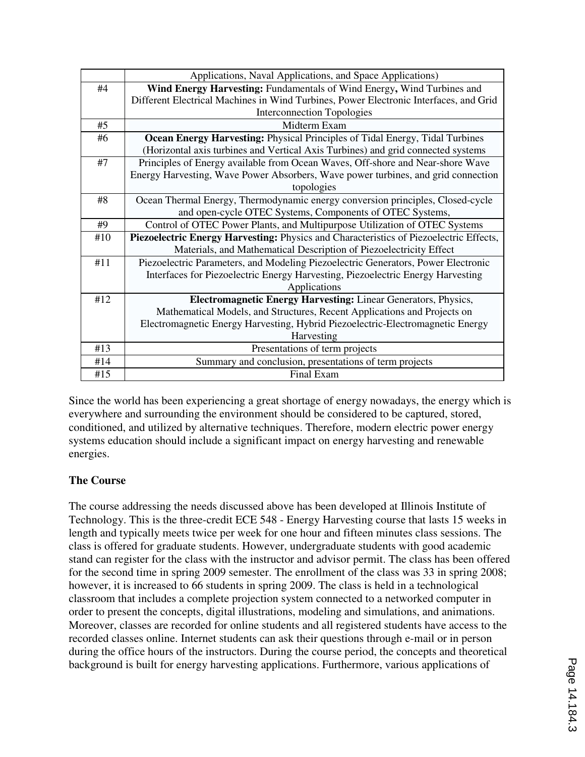|     | Applications, Naval Applications, and Space Applications)                              |  |  |  |  |  |  |
|-----|----------------------------------------------------------------------------------------|--|--|--|--|--|--|
| #4  | Wind Energy Harvesting: Fundamentals of Wind Energy, Wind Turbines and                 |  |  |  |  |  |  |
|     | Different Electrical Machines in Wind Turbines, Power Electronic Interfaces, and Grid  |  |  |  |  |  |  |
|     | <b>Interconnection Topologies</b>                                                      |  |  |  |  |  |  |
| #5  | Midterm Exam                                                                           |  |  |  |  |  |  |
| #6  | <b>Ocean Energy Harvesting: Physical Principles of Tidal Energy, Tidal Turbines</b>    |  |  |  |  |  |  |
|     | (Horizontal axis turbines and Vertical Axis Turbines) and grid connected systems       |  |  |  |  |  |  |
| #7  | Principles of Energy available from Ocean Waves, Off-shore and Near-shore Wave         |  |  |  |  |  |  |
|     | Energy Harvesting, Wave Power Absorbers, Wave power turbines, and grid connection      |  |  |  |  |  |  |
|     | topologies                                                                             |  |  |  |  |  |  |
| #8  | Ocean Thermal Energy, Thermodynamic energy conversion principles, Closed-cycle         |  |  |  |  |  |  |
|     | and open-cycle OTEC Systems, Components of OTEC Systems,                               |  |  |  |  |  |  |
| #9  | Control of OTEC Power Plants, and Multipurpose Utilization of OTEC Systems             |  |  |  |  |  |  |
| #10 | Piezoelectric Energy Harvesting: Physics and Characteristics of Piezoelectric Effects, |  |  |  |  |  |  |
|     | Materials, and Mathematical Description of Piezoelectricity Effect                     |  |  |  |  |  |  |
| #11 | Piezoelectric Parameters, and Modeling Piezoelectric Generators, Power Electronic      |  |  |  |  |  |  |
|     | Interfaces for Piezoelectric Energy Harvesting, Piezoelectric Energy Harvesting        |  |  |  |  |  |  |
|     | Applications                                                                           |  |  |  |  |  |  |
| #12 | <b>Electromagnetic Energy Harvesting:</b> Linear Generators, Physics,                  |  |  |  |  |  |  |
|     | Mathematical Models, and Structures, Recent Applications and Projects on               |  |  |  |  |  |  |
|     | Electromagnetic Energy Harvesting, Hybrid Piezoelectric-Electromagnetic Energy         |  |  |  |  |  |  |
|     | Harvesting                                                                             |  |  |  |  |  |  |
| #13 | Presentations of term projects                                                         |  |  |  |  |  |  |
| #14 | Summary and conclusion, presentations of term projects                                 |  |  |  |  |  |  |
| #15 | Final Exam                                                                             |  |  |  |  |  |  |

Since the world has been experiencing a great shortage of energy nowadays, the energy which is everywhere and surrounding the environment should be considered to be captured, stored, conditioned, and utilized by alternative techniques. Therefore, modern electric power energy systems education should include a significant impact on energy harvesting and renewable energies.

# **The Course**

The course addressing the needs discussed above has been developed at Illinois Institute of Technology. This is the three-credit ECE 548 - Energy Harvesting course that lasts 15 weeks in length and typically meets twice per week for one hour and fifteen minutes class sessions. The class is offered for graduate students. However, undergraduate students with good academic stand can register for the class with the instructor and advisor permit. The class has been offered for the second time in spring 2009 semester. The enrollment of the class was 33 in spring 2008; however, it is increased to 66 students in spring 2009. The class is held in a technological classroom that includes a complete projection system connected to a networked computer in order to present the concepts, digital illustrations, modeling and simulations, and animations. Moreover, classes are recorded for online students and all registered students have access to the recorded classes online. Internet students can ask their questions through e-mail or in person during the office hours of the instructors. During the course period, the concepts and theoretical background is built for energy harvesting applications. Furthermore, various applications of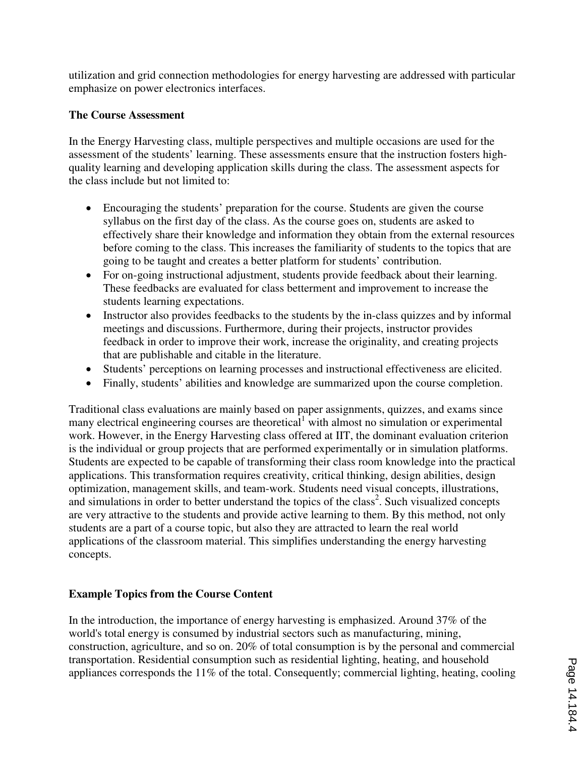utilization and grid connection methodologies for energy harvesting are addressed with particular emphasize on power electronics interfaces.

## **The Course Assessment**

In the Energy Harvesting class, multiple perspectives and multiple occasions are used for the assessment of the students' learning. These assessments ensure that the instruction fosters highquality learning and developing application skills during the class. The assessment aspects for the class include but not limited to:

- Encouraging the students' preparation for the course. Students are given the course syllabus on the first day of the class. As the course goes on, students are asked to effectively share their knowledge and information they obtain from the external resources before coming to the class. This increases the familiarity of students to the topics that are going to be taught and creates a better platform for students' contribution.
- For on-going instructional adjustment, students provide feedback about their learning. These feedbacks are evaluated for class betterment and improvement to increase the students learning expectations.
- Instructor also provides feedbacks to the students by the in-class quizzes and by informal meetings and discussions. Furthermore, during their projects, instructor provides feedback in order to improve their work, increase the originality, and creating projects that are publishable and citable in the literature.
- Students' perceptions on learning processes and instructional effectiveness are elicited.
- Finally, students' abilities and knowledge are summarized upon the course completion.

Traditional class evaluations are mainly based on paper assignments, quizzes, and exams since many electrical engineering courses are theoretical<sup>1</sup> with almost no simulation or experimental work. However, in the Energy Harvesting class offered at IIT, the dominant evaluation criterion is the individual or group projects that are performed experimentally or in simulation platforms. Students are expected to be capable of transforming their class room knowledge into the practical applications. This transformation requires creativity, critical thinking, design abilities, design optimization, management skills, and team-work. Students need visual concepts, illustrations, and simulations in order to better understand the topics of the class<sup>2</sup>. Such visualized concepts are very attractive to the students and provide active learning to them. By this method, not only students are a part of a course topic, but also they are attracted to learn the real world applications of the classroom material. This simplifies understanding the energy harvesting concepts.

# **Example Topics from the Course Content**

In the introduction, the importance of energy harvesting is emphasized. Around 37% of the world's total energy is consumed by industrial sectors such as manufacturing, mining, construction, agriculture, and so on. 20% of total consumption is by the personal and commercial transportation. Residential consumption such as residential lighting, heating, and household appliances corresponds the 11% of the total. Consequently; commercial lighting, heating, cooling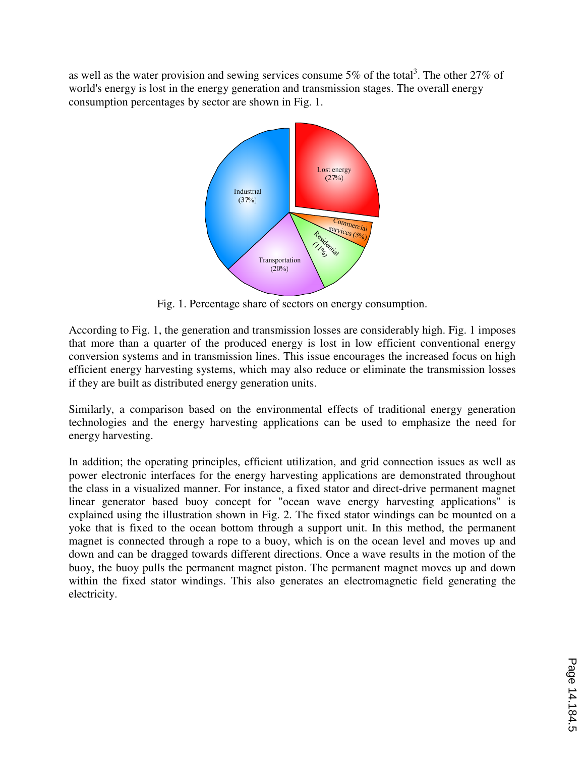as well as the water provision and sewing services consume 5% of the total<sup>3</sup>. The other 27% of world's energy is lost in the energy generation and transmission stages. The overall energy consumption percentages by sector are shown in Fig. 1.



Fig. 1. Percentage share of sectors on energy consumption.

According to Fig. 1, the generation and transmission losses are considerably high. Fig. 1 imposes that more than a quarter of the produced energy is lost in low efficient conventional energy conversion systems and in transmission lines. This issue encourages the increased focus on high efficient energy harvesting systems, which may also reduce or eliminate the transmission losses if they are built as distributed energy generation units.

Similarly, a comparison based on the environmental effects of traditional energy generation technologies and the energy harvesting applications can be used to emphasize the need for energy harvesting.

In addition; the operating principles, efficient utilization, and grid connection issues as well as power electronic interfaces for the energy harvesting applications are demonstrated throughout the class in a visualized manner. For instance, a fixed stator and direct-drive permanent magnet linear generator based buoy concept for "ocean wave energy harvesting applications" is explained using the illustration shown in Fig. 2. The fixed stator windings can be mounted on a yoke that is fixed to the ocean bottom through a support unit. In this method, the permanent magnet is connected through a rope to a buoy, which is on the ocean level and moves up and down and can be dragged towards different directions. Once a wave results in the motion of the buoy, the buoy pulls the permanent magnet piston. The permanent magnet moves up and down within the fixed stator windings. This also generates an electromagnetic field generating the electricity.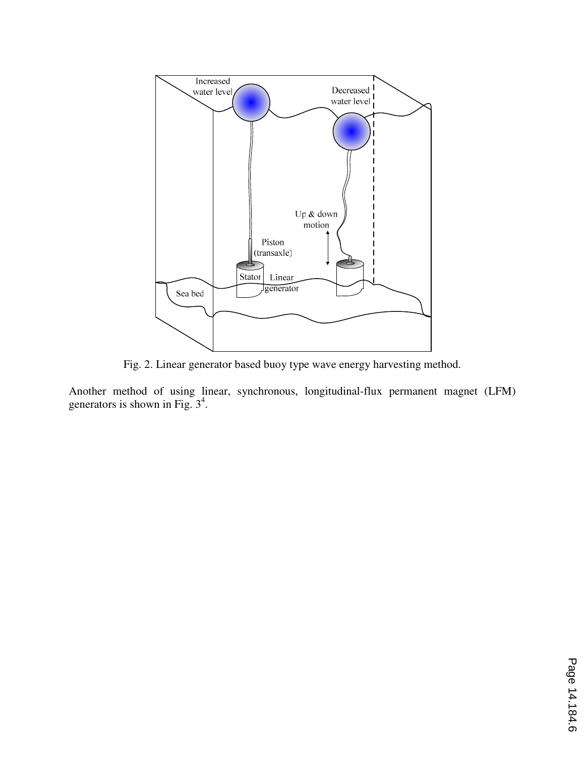

Fig. 2. Linear generator based buoy type wave energy harvesting method.

Another method of using linear, synchronous, longitudinal-flux permanent magnet (LFM) generators is shown in Fig.  $3^4$ .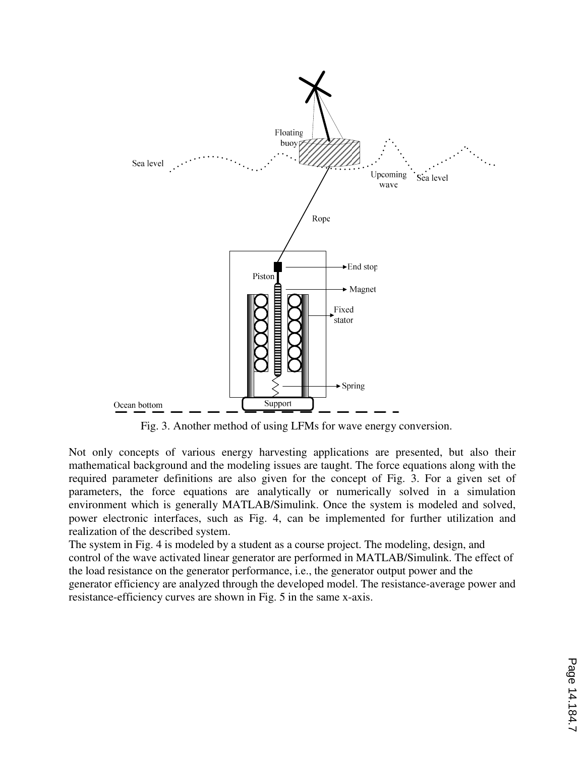

Fig. 3. Another method of using LFMs for wave energy conversion.

Not only concepts of various energy harvesting applications are presented, but also their mathematical background and the modeling issues are taught. The force equations along with the required parameter definitions are also given for the concept of Fig. 3. For a given set of parameters, the force equations are analytically or numerically solved in a simulation environment which is generally MATLAB/Simulink. Once the system is modeled and solved, power electronic interfaces, such as Fig. 4, can be implemented for further utilization and realization of the described system.

The system in Fig. 4 is modeled by a student as a course project. The modeling, design, and control of the wave activated linear generator are performed in MATLAB/Simulink. The effect of the load resistance on the generator performance, i.e., the generator output power and the generator efficiency are analyzed through the developed model. The resistance-average power and resistance-efficiency curves are shown in Fig. 5 in the same x-axis.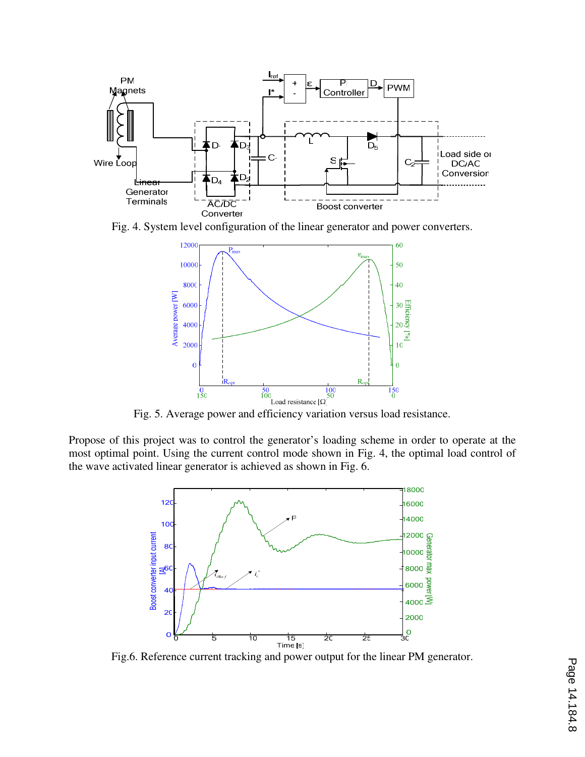

Fig. 4. System level configuration of the linear generator and power converters.



Fig. 5. Average power and efficiency variation versus load resistance.

Propose of this project was to control the generator's loading scheme in order to operate at the most optimal point. Using the current control mode shown in Fig. 4, the optimal load control of the wave activated linear generator is achieved as shown in Fig. 6.



Fig.6. Reference current tracking and power output for the linear PM generator.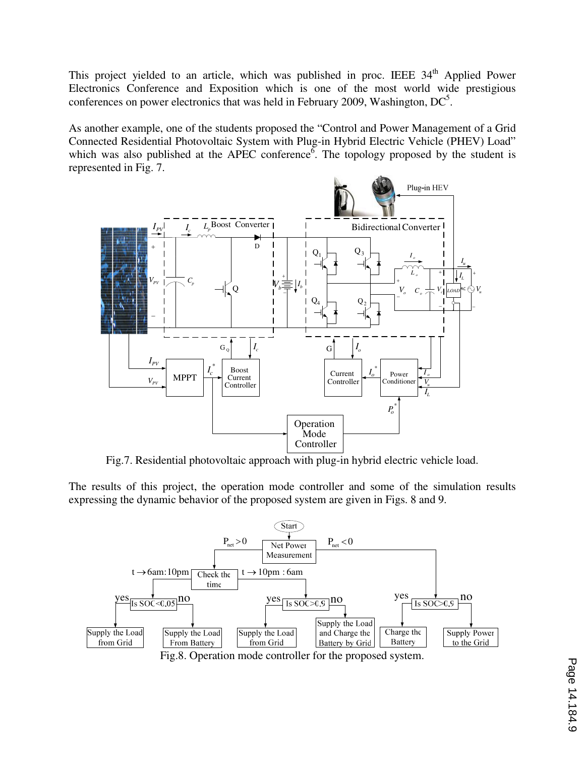This project yielded to an article, which was published in proc. IEEE  $34<sup>th</sup>$  Applied Power Electronics Conference and Exposition which is one of the most world wide prestigious conferences on power electronics that was held in February 2009, Washington,  $DC<sup>5</sup>$ .

As another example, one of the students proposed the "Control and Power Management of a Grid Connected Residential Photovoltaic System with Plug-in Hybrid Electric Vehicle (PHEV) Load" which was also published at the APEC conference<sup> $\delta$ </sup>. The topology proposed by the student is represented in Fig. 7.



Fig.7. Residential photovoltaic approach with plug-in hybrid electric vehicle load.

The results of this project, the operation mode controller and some of the simulation results expressing the dynamic behavior of the proposed system are given in Figs. 8 and 9.



Fig.8. Operation mode controller for the proposed system.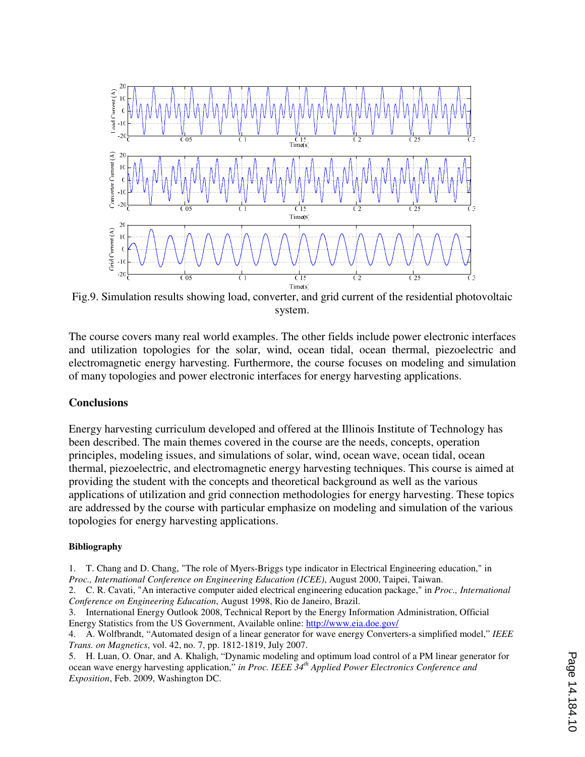

Fig.9. Simulation results showing load, converter, and grid current of the residential photovoltaic system.

The course covers many real world examples. The other fields include power electronic interfaces and utilization topologies for the solar, wind, ocean tidal, ocean thermal, piezoelectric and electromagnetic energy harvesting. Furthermore, the course focuses on modeling and simulation of many topologies and power electronic interfaces for energy harvesting applications.

#### **Conclusions**

Energy harvesting curriculum developed and offered at the Illinois Institute of Technology has been described. The main themes covered in the course are the needs, concepts, operation principles, modeling issues, and simulations of solar, wind, ocean wave, ocean tidal, ocean thermal, piezoelectric, and electromagnetic energy harvesting techniques. This course is aimed at providing the student with the concepts and theoretical background as well as the various applications of utilization and grid connection methodologies for energy harvesting. These topics are addressed by the course with particular emphasize on modeling and simulation of the various topologies for energy harvesting applications.

#### **Bibliography**

1. T. Chang and D. Chang, "The role of Myers-Briggs type indicator in Electrical Engineering education," in *Proc., International Conference on Engineering Education (ICEE)*, August 2000, Taipei, Taiwan.

2. C. R. Cavati, "An interactive computer aided electrical engineering education package," in *Proc., International Conference on Engineering Education*, August 1998, Rio de Janeiro, Brazil.

3. International Energy Outlook 2008, Technical Report by the Energy Information Administration, Official Energy Statistics from the US Government, Available online: http://www.eia.doe.gov/

4. A. Wolfbrandt, "Automated design of a linear generator for wave energy Converters-a simplified model," *IEEE Trans. on Magnetics*, vol. 42, no. 7, pp. 1812-1819, July 2007.

5. H. Luan, O. Onar, and A. Khaligh, "Dynamic modeling and optimum load control of a PM linear generator for ocean wave energy harvesting application," *in Proc. IEEE 34th Applied Power Electronics Conference and Exposition*, Feb. 2009, Washington DC.